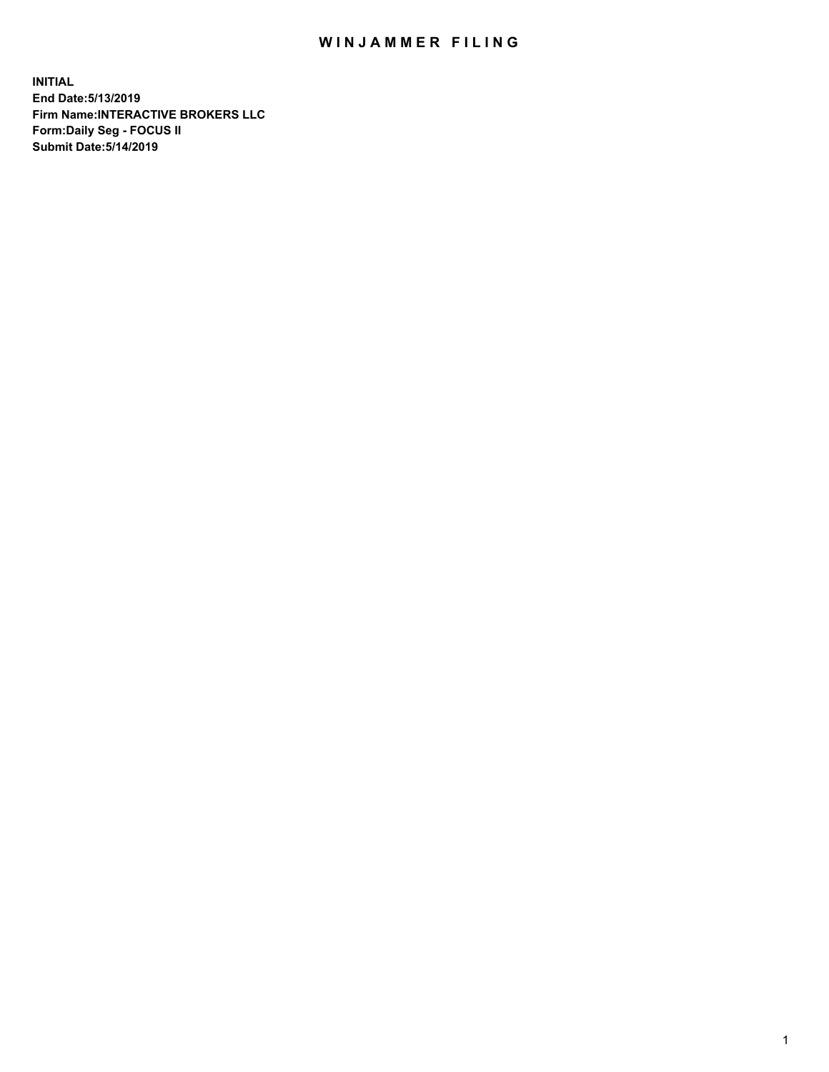## WIN JAMMER FILING

**INITIAL End Date:5/13/2019 Firm Name:INTERACTIVE BROKERS LLC Form:Daily Seg - FOCUS II Submit Date:5/14/2019**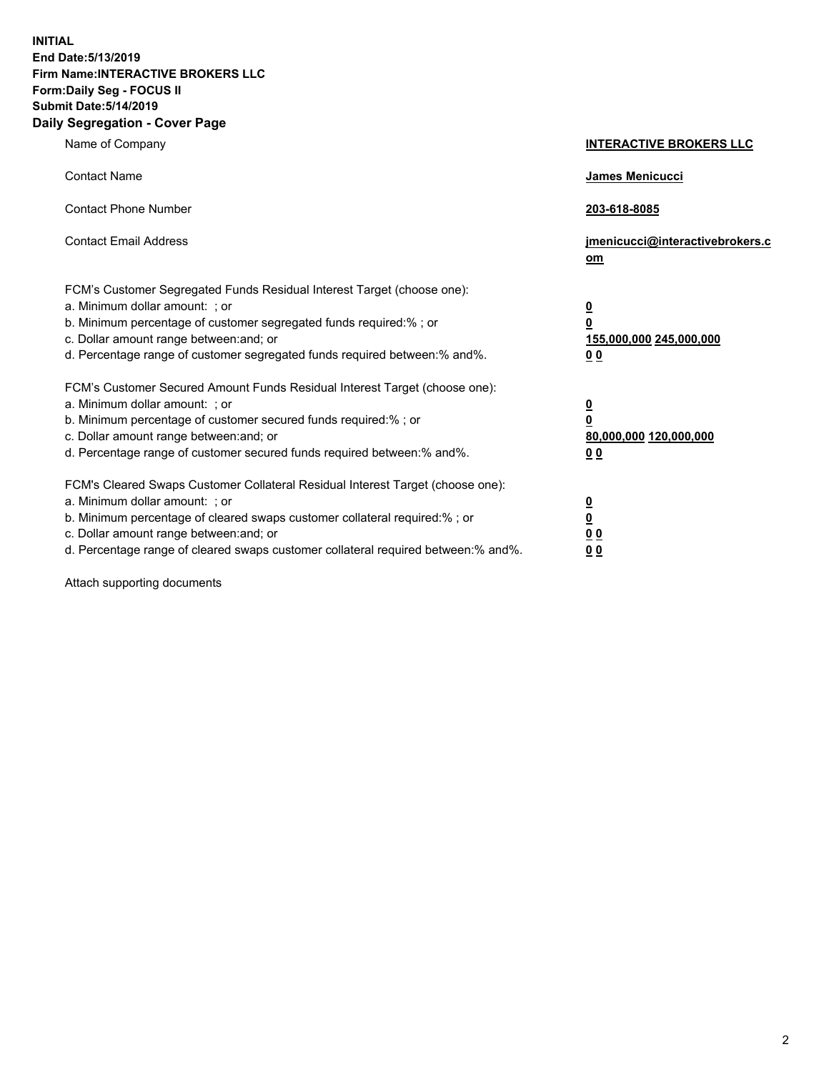**INITIAL End Date:5/13/2019 Firm Name:INTERACTIVE BROKERS LLC Form:Daily Seg - FOCUS II Submit Date:5/14/2019 Daily Segregation - Cover Page**

| Name of Company                                                                                                                                                                                                                                                                                                                | <b>INTERACTIVE BROKERS LLC</b>                                                                           |
|--------------------------------------------------------------------------------------------------------------------------------------------------------------------------------------------------------------------------------------------------------------------------------------------------------------------------------|----------------------------------------------------------------------------------------------------------|
| <b>Contact Name</b>                                                                                                                                                                                                                                                                                                            | James Menicucci                                                                                          |
| <b>Contact Phone Number</b>                                                                                                                                                                                                                                                                                                    | 203-618-8085                                                                                             |
| <b>Contact Email Address</b>                                                                                                                                                                                                                                                                                                   | jmenicucci@interactivebrokers.c<br>om                                                                    |
| FCM's Customer Segregated Funds Residual Interest Target (choose one):<br>a. Minimum dollar amount: ; or<br>b. Minimum percentage of customer segregated funds required:% ; or<br>c. Dollar amount range between: and; or<br>d. Percentage range of customer segregated funds required between:% and%.                         | $\overline{\mathbf{0}}$<br>$\overline{\mathbf{0}}$<br>155,000,000 245,000,000<br>0 <sub>0</sub>          |
| FCM's Customer Secured Amount Funds Residual Interest Target (choose one):<br>a. Minimum dollar amount: ; or<br>b. Minimum percentage of customer secured funds required:%; or<br>c. Dollar amount range between: and; or<br>d. Percentage range of customer secured funds required between:% and%.                            | $\overline{\mathbf{0}}$<br>$\overline{\mathbf{0}}$<br>80,000,000 120,000,000<br>00                       |
| FCM's Cleared Swaps Customer Collateral Residual Interest Target (choose one):<br>a. Minimum dollar amount: ; or<br>b. Minimum percentage of cleared swaps customer collateral required:% ; or<br>c. Dollar amount range between: and; or<br>d. Percentage range of cleared swaps customer collateral required between:% and%. | $\overline{\mathbf{0}}$<br>$\underline{\mathbf{0}}$<br>$\underline{0}$ $\underline{0}$<br>0 <sub>0</sub> |

Attach supporting documents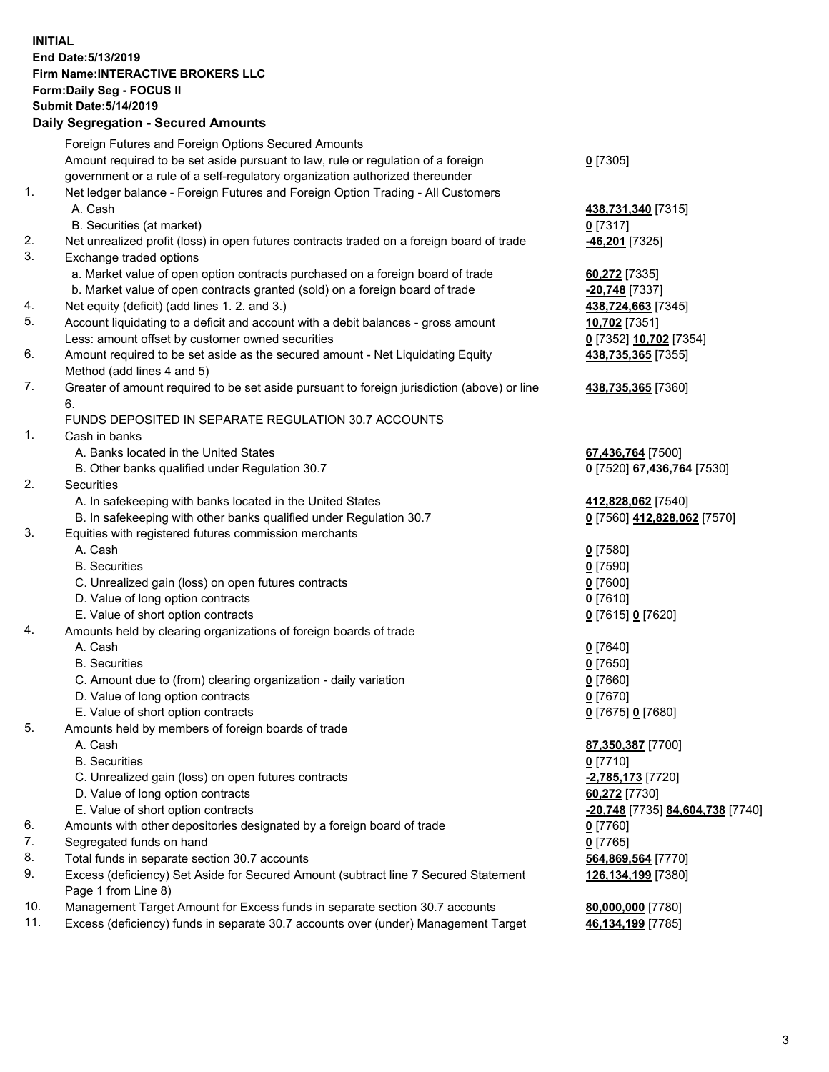## **INITIAL End Date:5/13/2019 Firm Name:INTERACTIVE BROKERS LLC Form:Daily Seg - FOCUS II Submit Date:5/14/2019 Daily Segregation - Secured Amounts**

|     | 2011, Ocgi ogation - Oceaned Anioanita                                                                     |                                  |
|-----|------------------------------------------------------------------------------------------------------------|----------------------------------|
|     | Foreign Futures and Foreign Options Secured Amounts                                                        |                                  |
|     | Amount required to be set aside pursuant to law, rule or regulation of a foreign                           | $0$ [7305]                       |
|     | government or a rule of a self-regulatory organization authorized thereunder                               |                                  |
| 1.  | Net ledger balance - Foreign Futures and Foreign Option Trading - All Customers                            |                                  |
|     | A. Cash                                                                                                    | 438,731,340 [7315]               |
|     | B. Securities (at market)                                                                                  | $0$ [7317]                       |
| 2.  | Net unrealized profit (loss) in open futures contracts traded on a foreign board of trade                  | -46,201 [7325]                   |
| 3.  | Exchange traded options                                                                                    |                                  |
|     | a. Market value of open option contracts purchased on a foreign board of trade                             | 60,272 [7335]                    |
|     | b. Market value of open contracts granted (sold) on a foreign board of trade                               | -20,748 [7337]                   |
| 4.  | Net equity (deficit) (add lines 1. 2. and 3.)                                                              | 438,724,663 [7345]               |
| 5.  | Account liquidating to a deficit and account with a debit balances - gross amount                          | 10,702 [7351]                    |
|     | Less: amount offset by customer owned securities                                                           | 0 [7352] 10,702 [7354]           |
| 6.  | Amount required to be set aside as the secured amount - Net Liquidating Equity                             | 438,735,365 [7355]               |
|     | Method (add lines 4 and 5)                                                                                 |                                  |
| 7.  | Greater of amount required to be set aside pursuant to foreign jurisdiction (above) or line<br>6.          | 438,735,365 [7360]               |
|     | FUNDS DEPOSITED IN SEPARATE REGULATION 30.7 ACCOUNTS                                                       |                                  |
| 1.  | Cash in banks                                                                                              |                                  |
|     | A. Banks located in the United States                                                                      | 67,436,764 [7500]                |
|     | B. Other banks qualified under Regulation 30.7                                                             | 0 [7520] 67,436,764 [7530]       |
| 2.  | Securities                                                                                                 |                                  |
|     | A. In safekeeping with banks located in the United States                                                  | 412,828,062 [7540]               |
|     | B. In safekeeping with other banks qualified under Regulation 30.7                                         | 0 [7560] 412,828,062 [7570]      |
| 3.  | Equities with registered futures commission merchants                                                      |                                  |
|     | A. Cash                                                                                                    | $0$ [7580]                       |
|     | <b>B.</b> Securities                                                                                       | $0$ [7590]                       |
|     | C. Unrealized gain (loss) on open futures contracts                                                        | $0$ [7600]                       |
|     | D. Value of long option contracts                                                                          | $0$ [7610]                       |
|     | E. Value of short option contracts                                                                         | 0 [7615] 0 [7620]                |
| 4.  | Amounts held by clearing organizations of foreign boards of trade                                          |                                  |
|     | A. Cash                                                                                                    | $0$ [7640]                       |
|     | <b>B.</b> Securities                                                                                       | $0$ [7650]                       |
|     | C. Amount due to (from) clearing organization - daily variation                                            | $0$ [7660]                       |
|     | D. Value of long option contracts                                                                          | $0$ [7670]                       |
|     | E. Value of short option contracts                                                                         | 0 [7675] 0 [7680]                |
| 5.  | Amounts held by members of foreign boards of trade                                                         |                                  |
|     | A. Cash                                                                                                    | 87,350,387 [7700]                |
|     | <b>B.</b> Securities                                                                                       | $0$ [7710]                       |
|     | C. Unrealized gain (loss) on open futures contracts                                                        | -2,785,173 [7720]                |
|     | D. Value of long option contracts                                                                          | 60,272 [7730]                    |
|     | E. Value of short option contracts                                                                         | -20,748 [7735] 84,604,738 [7740] |
| 6.  | Amounts with other depositories designated by a foreign board of trade                                     | 0 [7760]                         |
| 7.  | Segregated funds on hand                                                                                   | $0$ [7765]                       |
| 8.  | Total funds in separate section 30.7 accounts                                                              | 564,869,564 [7770]               |
| 9.  | Excess (deficiency) Set Aside for Secured Amount (subtract line 7 Secured Statement<br>Page 1 from Line 8) | 126,134,199 [7380]               |
| 10. | Management Target Amount for Excess funds in separate section 30.7 accounts                                | 80,000,000 [7780]                |
| 11. | Excess (deficiency) funds in separate 30.7 accounts over (under) Management Target                         | 46,134,199 [7785]                |
|     |                                                                                                            |                                  |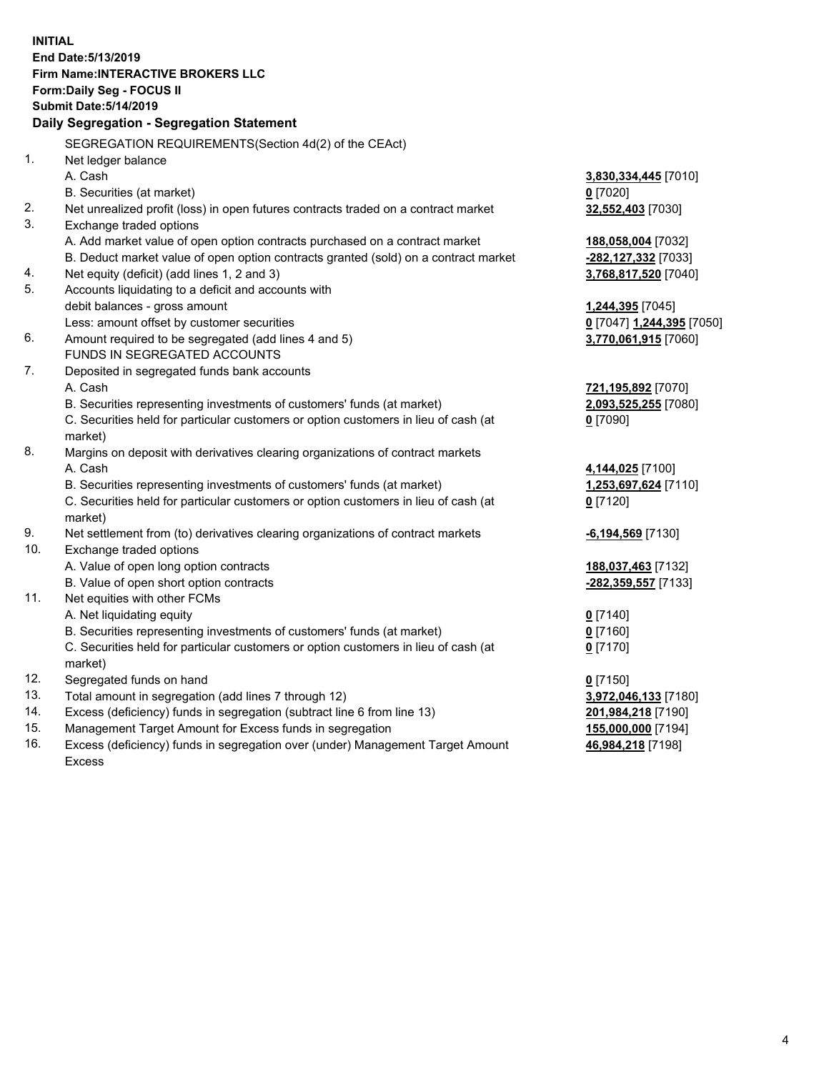**INITIAL End Date:5/13/2019 Firm Name:INTERACTIVE BROKERS LLC Form:Daily Seg - FOCUS II Submit Date:5/14/2019 Daily Segregation - Segregation Statement** SEGREGATION REQUIREMENTS(Section 4d(2) of the CEAct) 1. Net ledger balance A. Cash **3,830,334,445** [7010] B. Securities (at market) **0** [7020] 2. Net unrealized profit (loss) in open futures contracts traded on a contract market **32,552,403** [7030] 3. Exchange traded options A. Add market value of open option contracts purchased on a contract market **188,058,004** [7032] B. Deduct market value of open option contracts granted (sold) on a contract market **-282,127,332** [7033] 4. Net equity (deficit) (add lines 1, 2 and 3) **3,768,817,520** [7040] 5. Accounts liquidating to a deficit and accounts with debit balances - gross amount **1,244,395** [7045] Less: amount offset by customer securities **0** [7047] **1,244,395** [7050] 6. Amount required to be segregated (add lines 4 and 5) **3,770,061,915** [7060] FUNDS IN SEGREGATED ACCOUNTS 7. Deposited in segregated funds bank accounts A. Cash **721,195,892** [7070] B. Securities representing investments of customers' funds (at market) **2,093,525,255** [7080] C. Securities held for particular customers or option customers in lieu of cash (at market) **0** [7090] 8. Margins on deposit with derivatives clearing organizations of contract markets A. Cash **4,144,025** [7100] B. Securities representing investments of customers' funds (at market) **1,253,697,624** [7110] C. Securities held for particular customers or option customers in lieu of cash (at market) **0** [7120] 9. Net settlement from (to) derivatives clearing organizations of contract markets **-6,194,569** [7130] 10. Exchange traded options A. Value of open long option contracts **188,037,463** [7132] B. Value of open short option contracts **-282,359,557** [7133] 11. Net equities with other FCMs A. Net liquidating equity **0** [7140] B. Securities representing investments of customers' funds (at market) **0** [7160] C. Securities held for particular customers or option customers in lieu of cash (at market) **0** [7170] 12. Segregated funds on hand **0** [7150] 13. Total amount in segregation (add lines 7 through 12) **3,972,046,133** [7180] 14. Excess (deficiency) funds in segregation (subtract line 6 from line 13) **201,984,218** [7190] 15. Management Target Amount for Excess funds in segregation **155,000,000** [7194]

16. Excess (deficiency) funds in segregation over (under) Management Target Amount Excess

**46,984,218** [7198]